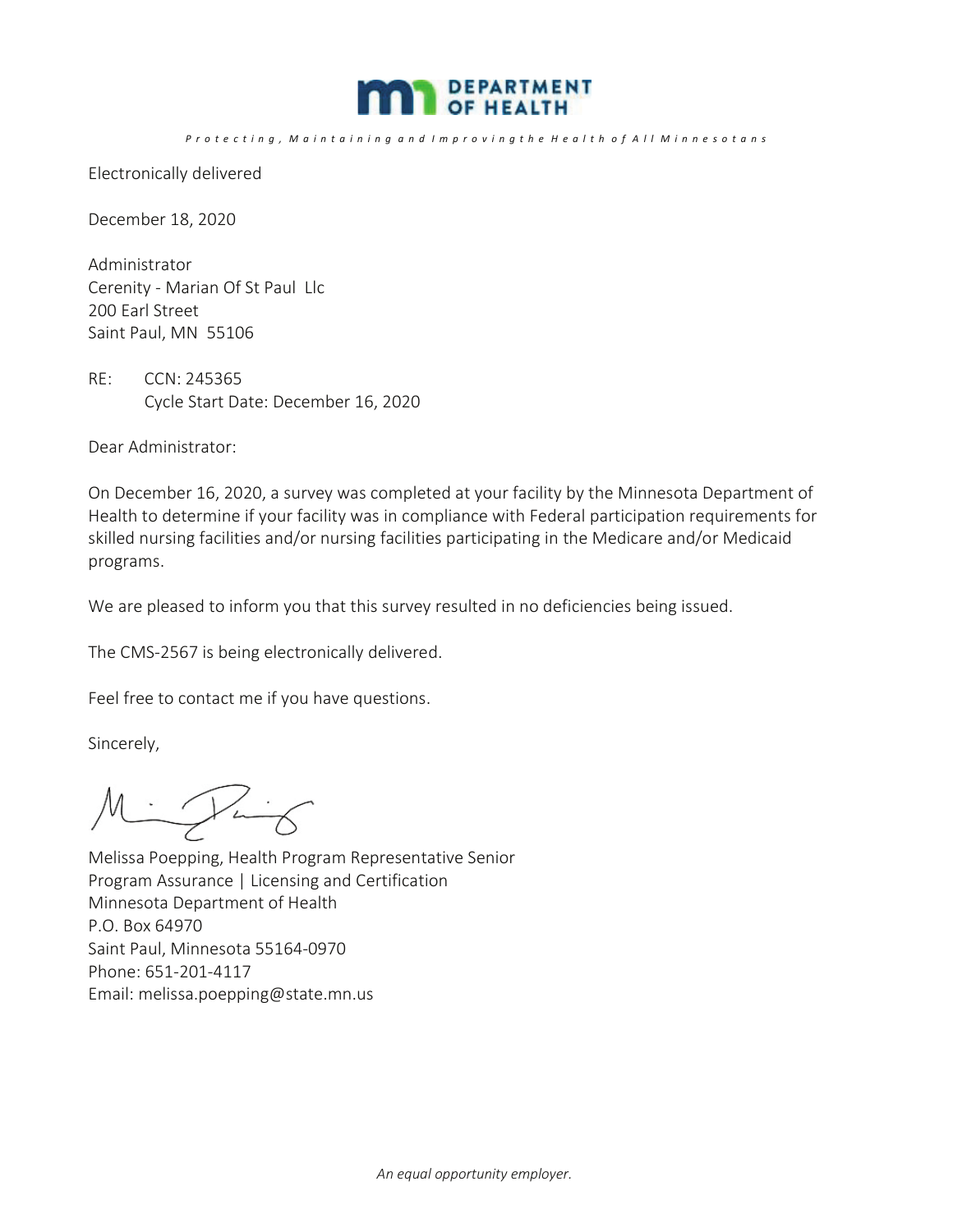

P r o t e c t i n g , M a i n t a i n i n g a n d I m p r o v i n g t h e H e a l t h o f A l l M i n n e s o t a n s

Electronically delivered

December 18, 2020

Administrator Cerenity - Marian Of St Paul Llc 200 Earl Street Saint Paul, MN 55106

RE: CCN: 245365 Cycle Start Date: December 16, 2020

Dear Administrator:

On December 16, 2020, a survey was completed at your facility by the Minnesota Department of Health to determine if your facility was in compliance with Federal participation requirements for skilled nursing facilities and/or nursing facilities participating in the Medicare and/or Medicaid programs.

We are pleased to inform you that this survey resulted in no deficiencies being issued.

The CMS-2567 is being electronically delivered.

Feel free to contact me if you have questions.

Sincerely,

Mintig

Melissa Poepping, Health Program Representative Senior Program Assurance | Licensing and Certification Minnesota Department of Health P.O. Box 64970 Saint Paul, Minnesota 55164-0970 Phone: 651-201-4117 Email: melissa.poepping@state.mn.us